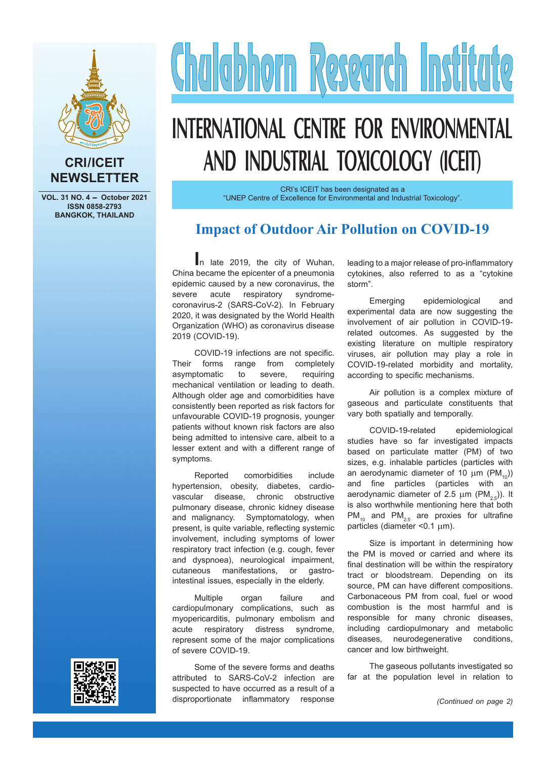

#### **CRI/ICEIT NEWSLETTER**

**VOL. 31 NO. 4 - October 2021 ISSN 0858-2793 BANGKOK, THAILAND**

# Chalabhorn Research Institute

# **INTERNATIONAL CENTRE FOR ENVIRONMENTAL AND INDUSTRIAL TOXICOLOGY (ICEIT)**

CRI's ICEIT has been designated as a "UNEP Centre of Excellence for Environmental and Industrial Toxicology".

### **Impact of Outdoor Air Pollution on COVID-19**

**I**n late 2019, the city of Wuhan, China became the epicenter of a pneumonia epidemic caused by a new coronavirus, the severe acute respiratory syndromecoronavirus-2 (SARS-CoV-2). In February 2020, it was designated by the World Health Organization (WHO) as coronavirus disease 2019 (COVID-19).

COVID-19 infections are not specific. Their forms range from completely asymptomatic to severe, requiring mechanical ventilation or leading to death. Although older age and comorbidities have consistently been reported as risk factors for unfavourable COVID-19 prognosis, younger patients without known risk factors are also being admitted to intensive care, albeit to a lesser extent and with a different range of symptoms.

Reported comorbidities include hypertension, obesity, diabetes, cardiovascular disease, chronic obstructive pulmonary disease, chronic kidney disease and malignancy. Symptomatology, when present, is quite variable, reflecting systemic involvement, including symptoms of lower respiratory tract infection (e.g. cough, fever and dyspnoea), neurological impairment, cutaneous manifestations, or gastrointestinal issues, especially in the elderly.

Multiple organ failure and cardiopulmonary complications, such as myopericarditis, pulmonary embolism and acute respiratory distress syndrome, represent some of the major complications of severe COVID-19.

leading to a major release of pro-inflammatory cytokines, also referred to as a "cytokine storm".

Emerging epidemiological and experimental data are now suggesting the involvement of air pollution in COVID-19 related outcomes. As suggested by the existing literature on multiple respiratory viruses, air pollution may play a role in COVID-19-related morbidity and mortality, according to specific mechanisms.

Air pollution is a complex mixture of gaseous and particulate constituents that vary both spatially and temporally.

COVID-19-related epidemiological studies have so far investigated impacts based on particulate matter (PM) of two sizes, e.g. inhalable particles (particles with an aerodynamic diameter of 10  $\mu$ m (PM<sub>40</sub>)) and fine particles (particles with an aerodynamic diameter of 2.5  $\mu$ m (PM<sub>2.5</sub>)). It is also worthwhile mentioning here that both  $PM_{10}$  and  $PM_{2.5}$  are proxies for ultrafine particles (diameter  $< 0.1 \text{ }\mu\text{m}$ ).

Size is important in determining how the PM is moved or carried and where its final destination will be within the respiratory tract or bloodstream. Depending on its source, PM can have different compositions. Carbonaceous PM from coal, fuel or wood combustion is the most harmful and is responsible for many chronic diseases, including cardiopulmonary and metabolic diseases, neurodegenerative conditions, cancer and low birthweight.

The gaseous pollutants investigated so far at the population level in relation to

Some of the severe forms and deaths attributed to SARS-CoV-2 infection are suspected to have occurred as a result of a disproportionate inflammatory response *(Continued on page 2)*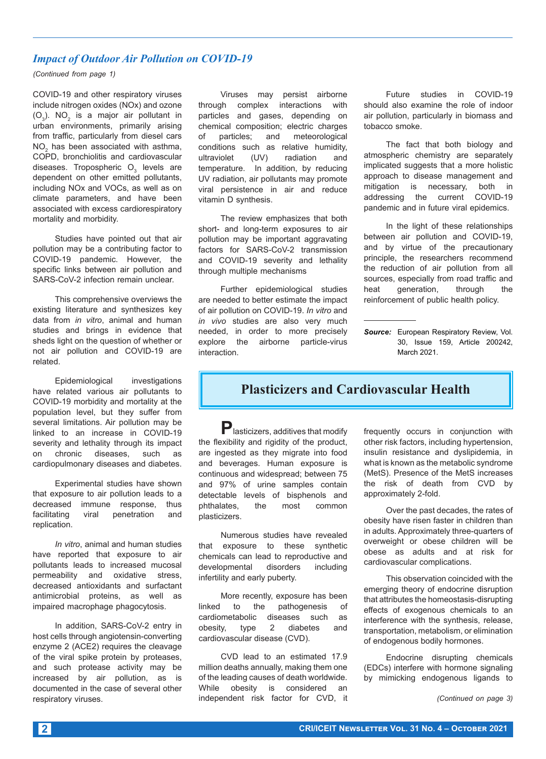#### *Impact of Outdoor Air Pollution on COVID-19*

*(Continued from page 1)*

COVID-19 and other respiratory viruses include nitrogen oxides (NOx) and ozone  $(O_3)$ . N $O_2$  is a major air pollutant in urban environments, primarily arising from traffic, particularly from diesel cars  $\mathsf{NO}_2$  has been associated with asthma, COPD, bronchiolitis and cardiovascular diseases. Tropospheric  $\mathsf{O}_3$  levels are dependent on other emitted pollutants, including NOx and VOCs, as well as on climate parameters, and have been associated with excess cardiorespiratory mortality and morbidity.

Studies have pointed out that air pollution may be a contributing factor to COVID-19 pandemic. However, the specific links between air pollution and SARS-CoV-2 infection remain unclear.

This comprehensive overviews the existing literature and synthesizes key data from *in vitro*, animal and human studies and brings in evidence that sheds light on the question of whether or not air pollution and COVID-19 are related.

Epidemiological investigations have related various air pollutants to COVID-19 morbidity and mortality at the population level, but they suffer from several limitations. Air pollution may be linked to an increase in COVID-19 severity and lethality through its impact on chronic diseases, such as cardiopulmonary diseases and diabetes.

Experimental studies have shown that exposure to air pollution leads to a decreased immune response, thus facilitating viral penetration and replication.

*In vitro*, animal and human studies have reported that exposure to air pollutants leads to increased mucosal permeability and oxidative stress, decreased antioxidants and surfactant antimicrobial proteins, as well as impaired macrophage phagocytosis.

In addition, SARS-CoV-2 entry in host cells through angiotensin-converting enzyme 2 (ACE2) requires the cleavage of the viral spike protein by proteases, and such protease activity may be increased by air pollution, as is documented in the case of several other respiratory viruses.

Viruses may persist airborne through complex interactions with particles and gases, depending on chemical composition; electric charges of particles; and meteorological conditions such as relative humidity, ultraviolet (UV) radiation and temperature. In addition, by reducing UV radiation, air pollutants may promote viral persistence in air and reduce vitamin D synthesis.

The review emphasizes that both short- and long-term exposures to air pollution may be important aggravating factors for SARS-CoV-2 transmission and COVID-19 severity and lethality through multiple mechanisms

Further epidemiological studies are needed to better estimate the impact of air pollution on COVID-19. *In vitro* and *in vivo* studies are also very much needed, in order to more precisely explore the airborne particle-virus interaction.

Future studies in COVID-19 should also examine the role of indoor air pollution, particularly in biomass and tobacco smoke.

The fact that both biology and atmospheric chemistry are separately implicated suggests that a more holistic approach to disease management and mitigation is necessary, both in addressing the current COVID-19 pandemic and in future viral epidemics.

In the light of these relationships between air pollution and COVID-19, and by virtue of the precautionary principle, the researchers recommend the reduction of air pollution from all sources, especially from road traffic and heat generation, through the reinforcement of public health policy.

*Source:* European Respiratory Review, Vol. 30, Issue 159, Article 200242, March 2021.

#### **Plasticizers and Cardiovascular Health**

**P**lasticizers, additives that modify the flexibility and rigidity of the product, are ingested as they migrate into food and beverages. Human exposure is continuous and widespread; between 75 and 97% of urine samples contain detectable levels of bisphenols and phthalates, the most common plasticizers.

Numerous studies have revealed that exposure to these synthetic chemicals can lead to reproductive and developmental disorders including infertility and early puberty.

More recently, exposure has been linked to the pathogenesis of cardiometabolic diseases such as obesity, type 2 diabetes and cardiovascular disease (CVD).

CVD lead to an estimated 17.9 million deaths annually, making them one of the leading causes of death worldwide. While obesity is considered an independent risk factor for CVD, it

frequently occurs in conjunction with other risk factors, including hypertension, insulin resistance and dyslipidemia, in what is known as the metabolic syndrome (MetS). Presence of the MetS increases the risk of death from CVD by approximately 2-fold.

Over the past decades, the rates of obesity have risen faster in children than in adults. Approximately three-quarters of overweight or obese children will be obese as adults and at risk for cardiovascular complications.

This observation coincided with the emerging theory of endocrine disruption that attributes the homeostasis-disrupting effects of exogenous chemicals to an interference with the synthesis, release, transportation, metabolism, or elimination of endogenous bodily hormones.

Endocrine disrupting chemicals (EDCs) interfere with hormone signaling by mimicking endogenous ligands to

*(Continued on page 3)*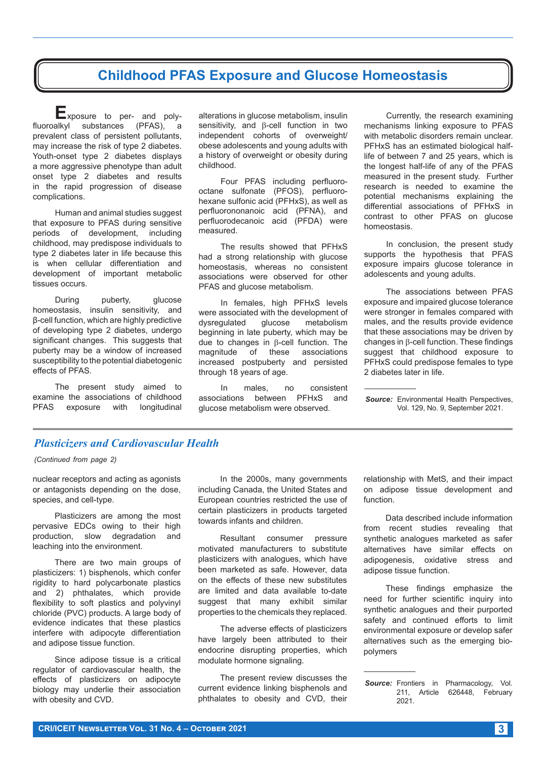### **Childhood PFAS Exposure and Glucose Homeostasis**

**E**xposure to per- and polyfluoroalkyl substances (PFAS), a prevalent class of persistent pollutants, may increase the risk of type 2 diabetes. Youth-onset type 2 diabetes displays a more aggressive phenotype than adult onset type 2 diabetes and results in the rapid progression of disease complications.

Human and animal studies suggest that exposure to PFAS during sensitive periods of development, including childhood, may predispose individuals to type 2 diabetes later in life because this is when cellular differentiation and development of important metabolic tissues occurs.

During puberty, glucose homeostasis, insulin sensitivity, and β-cell function, which are highly predictive of developing type 2 diabetes, undergo significant changes. This suggests that puberty may be a window of increased susceptibility to the potential diabetogenic effects of PFAS.

The present study aimed to examine the associations of childhood PFAS exposure with longitudinal alterations in glucose metabolism, insulin sensitivity, and  $\beta$ -cell function in two independent cohorts of overweight/ obese adolescents and young adults with a history of overweight or obesity during childhood.

Four PFAS including perfluorooctane sulfonate (PFOS), perfluorohexane sulfonic acid (PFHxS), as well as perfluorononanoic acid (PFNA), and perfluorodecanoic acid (PFDA) were measured.

The results showed that PFHxS had a strong relationship with glucose homeostasis, whereas no consistent associations were observed for other PFAS and glucose metabolism.

In females, high PFHxS levels were associated with the development of<br>dysregulated glucose metabolism glucose metabolism beginning in late puberty, which may be due to changes in  $\beta$ -cell function. The magnitude of these associations increased postpuberty and persisted through 18 years of age.

In males, no consistent associations between PFHxS and glucose metabolism were observed.

Currently, the research examining mechanisms linking exposure to PFAS with metabolic disorders remain unclear. PFHxS has an estimated biological halflife of between 7 and 25 years, which is the longest half-life of any of the PFAS measured in the present study. Further research is needed to examine the potential mechanisms explaining the differential associations of PFHxS in contrast to other PFAS on glucose homeostasis.

In conclusion, the present study supports the hypothesis that PFAS exposure impairs glucose tolerance in adolescents and young adults.

The associations between PFAS exposure and impaired glucose tolerance were stronger in females compared with males, and the results provide evidence that these associations may be driven by changes in  $\beta$ -cell function. These findings suggest that childhood exposure to PFHxS could predispose females to type 2 diabetes later in life.

#### *Plasticizers and Cardiovascular Health*

*(Continued from page 2)*

nuclear receptors and acting as agonists or antagonists depending on the dose, species, and cell-type.

Plasticizers are among the most pervasive EDCs owing to their high production, slow degradation and leaching into the environment.

There are two main groups of plasticizers: 1) bisphenols, which confer rigidity to hard polycarbonate plastics and 2) phthalates, which provide flexibility to soft plastics and polyvinyl chloride (PVC) products. A large body of evidence indicates that these plastics interfere with adipocyte differentiation and adipose tissue function.

Since adipose tissue is a critical regulator of cardiovascular health, the effects of plasticizers on adipocyte biology may underlie their association with obesity and CVD.

In the 2000s, many governments including Canada, the United States and European countries restricted the use of certain plasticizers in products targeted towards infants and children.

Resultant consumer pressure motivated manufacturers to substitute plasticizers with analogues, which have been marketed as safe. However, data on the effects of these new substitutes are limited and data available to-date suggest that many exhibit similar properties to the chemicals they replaced.

The adverse effects of plasticizers have largely been attributed to their endocrine disrupting properties, which modulate hormone signaling.

The present review discusses the current evidence linking bisphenols and phthalates to obesity and CVD, their

relationship with MetS, and their impact on adipose tissue development and function.

Data described include information from recent studies revealing that synthetic analogues marketed as safer alternatives have similar effects on adipogenesis, oxidative stress and adipose tissue function.

These findings emphasize the need for further scientific inquiry into synthetic analogues and their purported safety and continued efforts to limit environmental exposure or develop safer alternatives such as the emerging biopolymers

*Source:* Environmental Health Perspectives, Vol. 129, No. 9, September 2021.

**Source:** Frontiers in Pharmacology, Vol. 211, Article 626448, February 2021.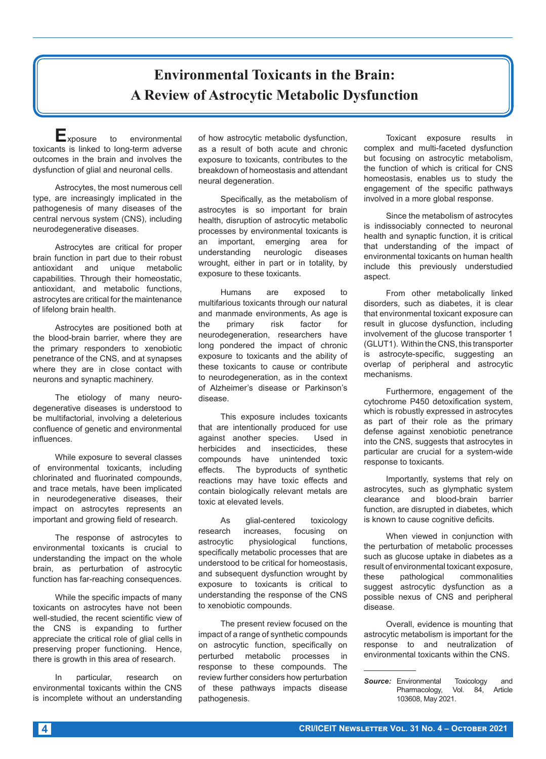# **Environmental Toxicants in the Brain: A Review of Astrocytic Metabolic Dysfunction**

**E**xposure to environmental toxicants is linked to long-term adverse outcomes in the brain and involves the dysfunction of glial and neuronal cells.

Astrocytes, the most numerous cell type, are increasingly implicated in the pathogenesis of many diseases of the central nervous system (CNS), including neurodegenerative diseases.

Astrocytes are critical for proper brain function in part due to their robust antioxidant and unique metabolic capabilities. Through their homeostatic, antioxidant, and metabolic functions, astrocytes are critical for the maintenance of lifelong brain health.

Astrocytes are positioned both at the blood-brain barrier, where they are the primary responders to xenobiotic penetrance of the CNS, and at synapses where they are in close contact with neurons and synaptic machinery.

The etiology of many neurodegenerative diseases is understood to be multifactorial, involving a deleterious confluence of genetic and environmental influences.

While exposure to several classes of environmental toxicants, including chlorinated and fluorinated compounds, and trace metals, have been implicated in neurodegenerative diseases, their impact on astrocytes represents an important and growing field of research.

The response of astrocytes to environmental toxicants is crucial to understanding the impact on the whole brain, as perturbation of astrocytic function has far-reaching consequences.

While the specific impacts of many toxicants on astrocytes have not been well-studied, the recent scientific view of the CNS is expanding to further appreciate the critical role of glial cells in preserving proper functioning. Hence, there is growth in this area of research.

In particular, research on environmental toxicants within the CNS is incomplete without an understanding of how astrocytic metabolic dysfunction, as a result of both acute and chronic exposure to toxicants, contributes to the breakdown of homeostasis and attendant neural degeneration.

Specifically, as the metabolism of astrocytes is so important for brain health, disruption of astrocytic metabolic processes by environmental toxicants is an important, emerging area for understanding neurologic diseases wrought, either in part or in totality, by exposure to these toxicants.

Humans are exposed to multifarious toxicants through our natural and manmade environments, As age is<br>the primary risk factor for the primary risk factor for neurodegeneration, researchers have long pondered the impact of chronic exposure to toxicants and the ability of these toxicants to cause or contribute to neurodegeneration, as in the context of Alzheimer's disease or Parkinson's disease.

This exposure includes toxicants that are intentionally produced for use against another species. Used in herbicides and insecticides, these compounds have unintended toxic effects. The byproducts of synthetic reactions may have toxic effects and contain biologically relevant metals are toxic at elevated levels.

As glial-centered toxicology research increases, focusing on astrocytic physiological functions, specifically metabolic processes that are understood to be critical for homeostasis, and subsequent dysfunction wrought by exposure to toxicants is critical to understanding the response of the CNS to xenobiotic compounds.

The present review focused on the impact of a range of synthetic compounds on astrocytic function, specifically on perturbed metabolic processes in response to these compounds. The review further considers how perturbation of these pathways impacts disease pathogenesis.

Toxicant exposure results in complex and multi-faceted dysfunction but focusing on astrocytic metabolism, the function of which is critical for CNS homeostasis, enables us to study the engagement of the specific pathways involved in a more global response.

Since the metabolism of astrocytes is indissociably connected to neuronal health and synaptic function, it is critical that understanding of the impact of environmental toxicants on human health include this previously understudied aspect.

From other metabolically linked disorders, such as diabetes, it is clear that environmental toxicant exposure can result in glucose dysfunction, including involvement of the glucose transporter 1 (GLUT1). Within the CNS, this transporter is astrocyte-specific, suggesting an overlap of peripheral and astrocytic mechanisms.

Furthermore, engagement of the cytochrome P450 detoxification system, which is robustly expressed in astrocytes as part of their role as the primary defense against xenobiotic penetrance into the CNS, suggests that astrocytes in particular are crucial for a system-wide response to toxicants.

Importantly, systems that rely on astrocytes, such as glymphatic system clearance and blood-brain barrier function, are disrupted in diabetes, which is known to cause cognitive deficits.

When viewed in conjunction with the perturbation of metabolic processes such as glucose uptake in diabetes as a result of environmental toxicant exposure, these pathological commonalities suggest astrocytic dysfunction as a possible nexus of CNS and peripheral disease.

Overall, evidence is mounting that astrocytic metabolism is important for the response to and neutralization of environmental toxicants within the CNS.

**Source:** Environmental Toxicology and<br>Pharmacology, Vol. 84, Article Pharmacology, Vol. 84, Article 103608, May 2021.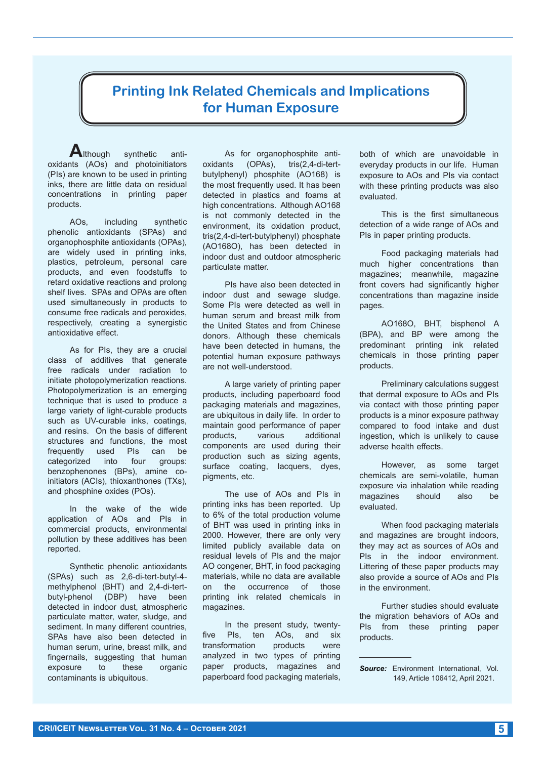#### **Printing Ink Related Chemicals and Implications for Human Exposure**

**A**lthough synthetic antioxidants (AOs) and photoinitiators (PIs) are known to be used in printing inks, there are little data on residual concentrations in printing paper products.

AOs, including synthetic phenolic antioxidants (SPAs) and organophosphite antioxidants (OPAs), are widely used in printing inks, plastics, petroleum, personal care products, and even foodstuffs to retard oxidative reactions and prolong shelf lives. SPAs and OPAs are often used simultaneously in products to consume free radicals and peroxides, respectively, creating a synergistic antioxidative effect.

As for PIs, they are a crucial class of additives that generate free radicals under radiation to initiate photopolymerization reactions. Photopolymerization is an emerging technique that is used to produce a large variety of light-curable products such as UV-curable inks, coatings, and resins. On the basis of different structures and functions, the most frequently used PIs can be<br>categorized into four groups: categorized into four benzophenones (BPs), amine coinitiators (ACIs), thioxanthones (TXs), and phosphine oxides (POs).

In the wake of the wide application of AOs and PIs in commercial products, environmental pollution by these additives has been reported.

Synthetic phenolic antioxidants (SPAs) such as 2,6-di-tert-butyl-4 methylphenol (BHT) and 2,4-di-tertbutyl-phenol (DBP) have been detected in indoor dust, atmospheric particulate matter, water, sludge, and sediment. In many different countries, SPAs have also been detected in human serum, urine, breast milk, and fingernails, suggesting that human exposure to these organic contaminants is ubiquitous.

As for organophosphite antioxidants (OPAs), tris(2,4-di-tertbutylphenyl) phosphite (AO168) is the most frequently used. It has been detected in plastics and foams at high concentrations. Although AO168 is not commonly detected in the environment, its oxidation product, tris(2,4-di-tert-butylphenyl) phosphate (AO168O), has been detected in indoor dust and outdoor atmospheric particulate matter.

PIs have also been detected in indoor dust and sewage sludge. Some PIs were detected as well in human serum and breast milk from the United States and from Chinese donors. Although these chemicals have been detected in humans, the potential human exposure pathways are not well-understood.

A large variety of printing paper products, including paperboard food packaging materials and magazines, are ubiquitous in daily life. In order to maintain good performance of paper products, various additional components are used during their production such as sizing agents, surface coating, lacquers, dyes, pigments, etc.

The use of AOs and PIs in printing inks has been reported. Up to 6% of the total production volume of BHT was used in printing inks in 2000. However, there are only very limited publicly available data on residual levels of PIs and the major AO congener, BHT, in food packaging materials, while no data are available on the occurrence of those printing ink related chemicals in magazines.

In the present study, twentyfive PIs, ten AOs, and six transformation products were analyzed in two types of printing paper products, magazines and paperboard food packaging materials,

both of which are unavoidable in everyday products in our life. Human exposure to AOs and PIs via contact with these printing products was also evaluated.

This is the first simultaneous detection of a wide range of AOs and PIs in paper printing products.

Food packaging materials had much higher concentrations than magazines; meanwhile, magazine front covers had significantly higher concentrations than magazine inside pages.

AO168O, BHT, bisphenol A (BPA), and BP were among the predominant printing ink related chemicals in those printing paper products.

Preliminary calculations suggest that dermal exposure to AOs and PIs via contact with those printing paper products is a minor exposure pathway compared to food intake and dust ingestion, which is unlikely to cause adverse health effects.

However, as some target chemicals are semi-volatile, human exposure via inhalation while reading magazines should also be evaluated.

When food packaging materials and magazines are brought indoors, they may act as sources of AOs and PIs in the indoor environment. Littering of these paper products may also provide a source of AOs and PIs in the environment.

Further studies should evaluate the migration behaviors of AOs and PIs from these printing paper products.

*Source:* Environment International, Vol. 149, Article 106412, April 2021.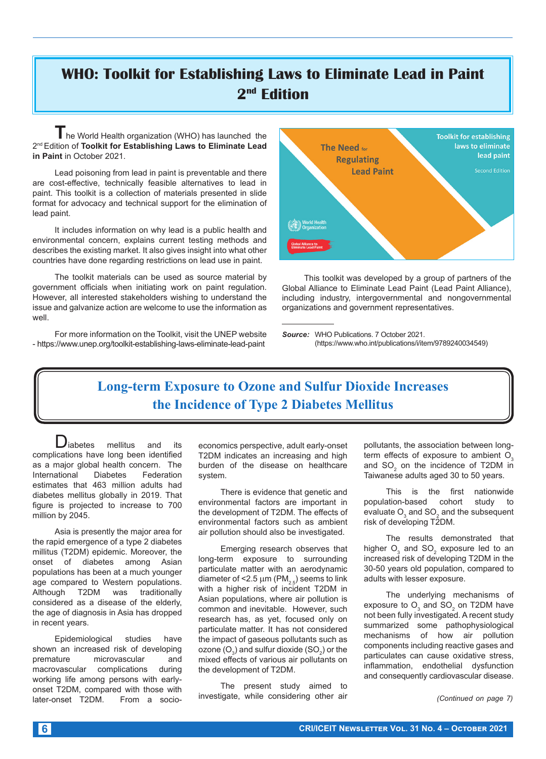# **WHO: Toolkit for Establishing Laws to Eliminate Lead in Paint 2nd Edition**

**T**he World Health organization (WHO) has launched the 2nd Edition of **Toolkit for Establishing Laws to Eliminate Lead in Paint** in October 2021.

Lead poisoning from lead in paint is preventable and there are cost-effective, technically feasible alternatives to lead in paint. This toolkit is a collection of materials presented in slide format for advocacy and technical support for the elimination of lead paint.

It includes information on why lead is a public health and environmental concern, explains current testing methods and describes the existing market. It also gives insight into what other countries have done regarding restrictions on lead use in paint.

The toolkit materials can be used as source material by government officials when initiating work on paint regulation. However, all interested stakeholders wishing to understand the issue and galvanize action are welcome to use the information as well.

For more information on the Toolkit, visit the UNEP website - https://www.unep.org/toolkit-establishing-laws-eliminate-lead-paint



This toolkit was developed by a group of partners of the Global Alliance to Eliminate Lead Paint (Lead Paint Alliance), including industry, intergovernmental and nongovernmental organizations and government representatives.

*Source:* WHO Publications. 7 October 2021. (https://www.who.int/publications/i/item/9789240034549)

## **Long-term Exposure to Ozone and Sulfur Dioxide Increases the Incidence of Type 2 Diabetes Mellitus**

**D**iabetes mellitus and its complications have long been identified as a major global health concern. The International Diabetes Federation estimates that 463 million adults had diabetes mellitus globally in 2019. That figure is projected to increase to 700 million by 2045.

Asia is presently the major area for the rapid emergence of a type 2 diabetes millitus (T2DM) epidemic. Moreover, the onset of diabetes among Asian populations has been at a much younger age compared to Western populations. Although T2DM was traditionally considered as a disease of the elderly, the age of diagnosis in Asia has dropped in recent years.

Epidemiological studies have shown an increased risk of developing premature microvascular and macrovascular complications during working life among persons with earlyonset T2DM, compared with those with later-onset T2DM. From a socioeconomics perspective, adult early-onset T2DM indicates an increasing and high burden of the disease on healthcare system.

There is evidence that genetic and environmental factors are important in the development of T2DM. The effects of environmental factors such as ambient air pollution should also be investigated.

Emerging research observes that long-term exposure to surrounding particulate matter with an aerodynamic diameter of <2.5  $\mu$ m (PM<sub>2.5</sub>) seems to link with a higher risk of incident T2DM in Asian populations, where air pollution is common and inevitable. However, such research has, as yet, focused only on particulate matter. It has not considered the impact of gaseous pollutants such as ozone (O $_{3}$ ) and sulfur dioxide (SO $_{2}$ ) or the mixed effects of various air pollutants on the development of T2DM.

The present study aimed to investigate, while considering other air pollutants, the association between longterm effects of exposure to ambient  $O<sub>3</sub>$ and  $SO_2$  on the incidence of T2DM in Taiwanese adults aged 30 to 50 years.

This is the first nationwide<br>ation-based cohort study to population-based cohort evaluate  ${\mathsf O}_3$  and  ${\mathsf {SO}}_2$  and the subsequent risk of developing T2DM.

The results demonstrated that higher  $\overline{\mathrm{O}}_{_{\mathrm{3}}}$  and SO $_{\mathrm{2}}$  exposure led to an increased risk of developing T2DM in the 30-50 years old population, compared to adults with lesser exposure.

The underlying mechanisms of exposure to  $\mathrm{O}_3$  and SO $_2$  on T2DM have not been fully investigated. A recent study summarized some pathophysiological mechanisms of how air pollution components including reactive gases and particulates can cause oxidative stress, inflammation, endothelial dysfunction and consequently cardiovascular disease.

*(Continued on page 7)*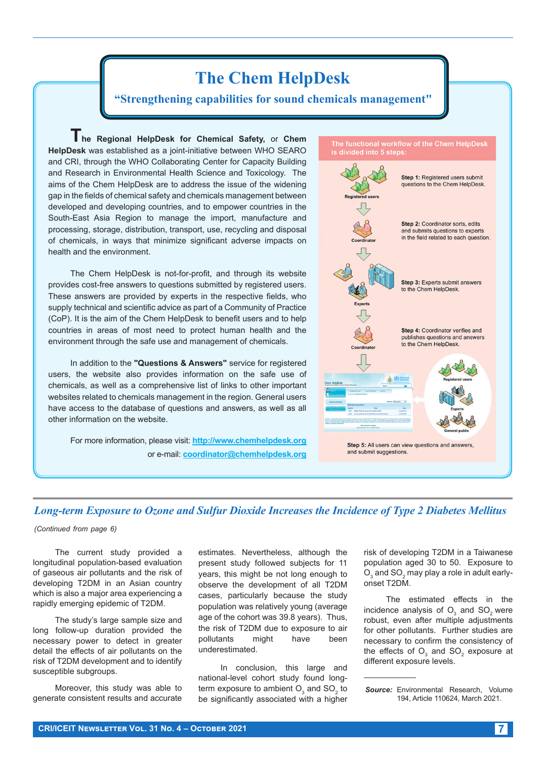

#### *Long-term Exposure to Ozone and Sulfur Dioxide Increases the Incidence of Type 2 Diabetes Mellitus*

*(Continued from page 6)*

The current study provided a longitudinal population-based evaluation of gaseous air pollutants and the risk of developing T2DM in an Asian country which is also a major area experiencing a rapidly emerging epidemic of T2DM.

The study's large sample size and long follow-up duration provided the necessary power to detect in greater detail the effects of air pollutants on the risk of T2DM development and to identify susceptible subgroups.

Moreover, this study was able to generate consistent results and accurate estimates. Nevertheless, although the present study followed subjects for 11 years, this might be not long enough to observe the development of all T2DM cases, particularly because the study population was relatively young (average age of the cohort was 39.8 years). Thus, the risk of T2DM due to exposure to air pollutants might have been underestimated.

In conclusion, this large and national-level cohort study found longterm exposure to ambient  ${\mathsf O}_3$  and  $\mathsf{SO}_2$  to be significantly associated with a higher

risk of developing T2DM in a Taiwanese population aged 30 to 50. Exposure to  $\mathrm{O}_\mathrm{3}$  and SO $_2$  may play a role in adult earlyonset T2DM.

The estimated effects in the incidence analysis of  $\textsf{O}_3$  and  $\textsf{SO}_2$  were robust, even after multiple adjustments for other pollutants. Further studies are necessary to confirm the consistency of the effects of  $\mathrm{O}_{\mathrm{s}}$  and SO $_{\mathrm{2}}$  exposure at different exposure levels.

*Source:* Environmental Research, Volume 194, Article 110624, March 2021.